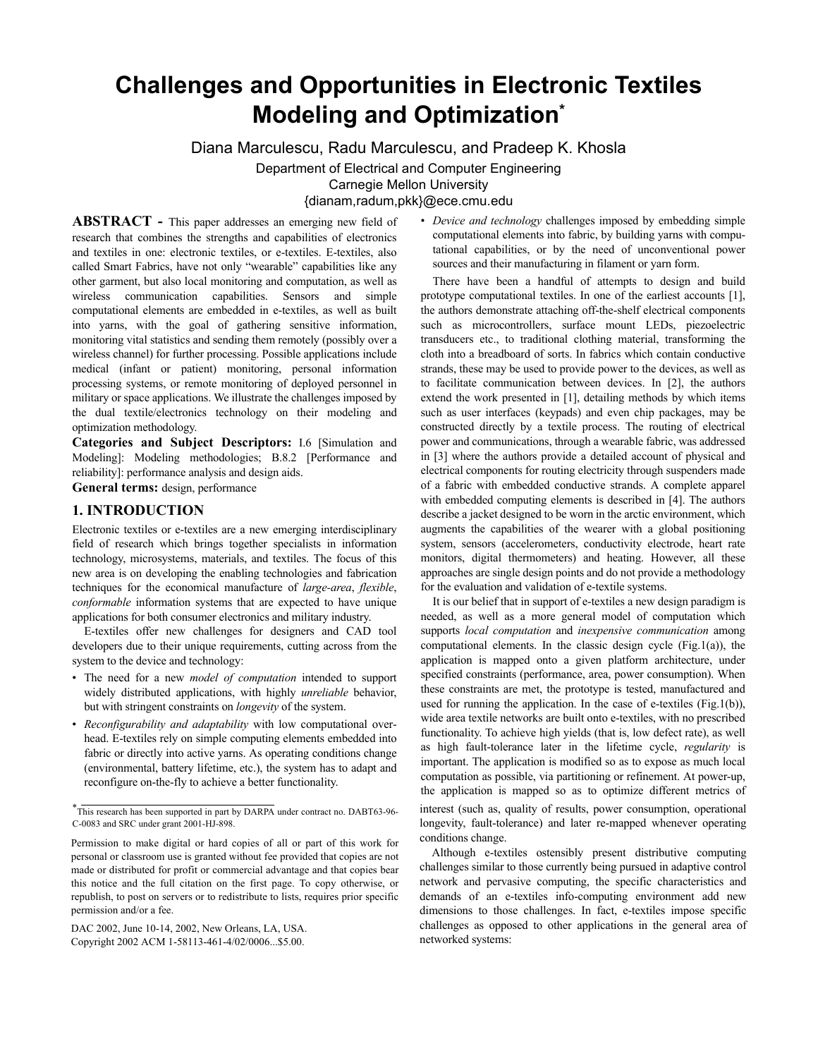# **Challenges and Opportunities in Electronic Textiles Modeling and Optimization\***

Diana Marculescu, Radu Marculescu, and Pradeep K. Khosla

Department of Electrical and Computer Engineering

Carnegie Mellon University

{dianam,radum,pkk}@ece.cmu.edu

**ABSTRACT -** This paper addresses an emerging new field of research that combines the strengths and capabilities of electronics and textiles in one: electronic textiles, or e-textiles. E-textiles, also called Smart Fabrics, have not only "wearable" capabilities like any other garment, but also local monitoring and computation, as well as wireless communication capabilities. Sensors and simple computational elements are embedded in e-textiles, as well as built into yarns, with the goal of gathering sensitive information, monitoring vital statistics and sending them remotely (possibly over a wireless channel) for further processing. Possible applications include medical (infant or patient) monitoring, personal information processing systems, or remote monitoring of deployed personnel in military or space applications. We illustrate the challenges imposed by the dual textile/electronics technology on their modeling and optimization methodology.

**Categories and Subject Descriptors:** I.6 [Simulation and Modeling]: Modeling methodologies; B.8.2 [Performance and reliability]: performance analysis and design aids. **General terms:** design, performance

# **1. INTRODUCTION**

Electronic textiles or e-textiles are a new emerging interdisciplinary field of research which brings together specialists in information technology, microsystems, materials, and textiles. The focus of this new area is on developing the enabling technologies and fabrication techniques for the economical manufacture of *large-area*, *flexible*, *conformable* information systems that are expected to have unique applications for both consumer electronics and military industry.

E-textiles offer new challenges for designers and CAD tool developers due to their unique requirements, cutting across from the system to the device and technology:

- The need for a new *model of computation* intended to support widely distributed applications, with highly *unreliable* behavior, but with stringent constraints on *longevity* of the system.
- *Reconfigurability and adaptability* with low computational overhead. E-textiles rely on simple computing elements embedded into fabric or directly into active yarns. As operating conditions change (environmental, battery lifetime, etc.), the system has to adapt and reconfigure on-the-fly to achieve a better functionality.

DAC 2002, June 10-14, 2002, New Orleans, LA, USA. Copyright 2002 ACM 1-58113-461-4/02/0006...\$5.00.

ï *Device and technology* challenges imposed by embedding simple computational elements into fabric, by building yarns with computational capabilities, or by the need of unconventional power sources and their manufacturing in filament or yarn form.

There have been a handful of attempts to design and build prototype computational textiles. In one of the earliest accounts [1], the authors demonstrate attaching off-the-shelf electrical components such as microcontrollers, surface mount LEDs, piezoelectric transducers etc., to traditional clothing material, transforming the cloth into a breadboard of sorts. In fabrics which contain conductive strands, these may be used to provide power to the devices, as well as to facilitate communication between devices. In [2], the authors extend the work presented in [1], detailing methods by which items such as user interfaces (keypads) and even chip packages, may be constructed directly by a textile process. The routing of electrical power and communications, through a wearable fabric, was addressed in [3] where the authors provide a detailed account of physical and electrical components for routing electricity through suspenders made of a fabric with embedded conductive strands. A complete apparel with embedded computing elements is described in [4]. The authors describe a jacket designed to be worn in the arctic environment, which augments the capabilities of the wearer with a global positioning system, sensors (accelerometers, conductivity electrode, heart rate monitors, digital thermometers) and heating. However, all these approaches are single design points and do not provide a methodology for the evaluation and validation of e-textile systems.

It is our belief that in support of e-textiles a new design paradigm is needed, as well as a more general model of computation which supports *local computation* and *inexpensive communication* among computational elements. In the classic design cycle  $(Fig.1(a))$ , the application is mapped onto a given platform architecture, under specified constraints (performance, area, power consumption). When these constraints are met, the prototype is tested, manufactured and used for running the application. In the case of e-textiles (Fig.1(b)), wide area textile networks are built onto e-textiles, with no prescribed functionality. To achieve high yields (that is, low defect rate), as well as high fault-tolerance later in the lifetime cycle, *regularity* is important. The application is modified so as to expose as much local computation as possible, via partitioning or refinement. At power-up, the application is mapped so as to optimize different metrics of interest (such as, quality of results, power consumption, operational longevity, fault-tolerance) and later re-mapped whenever operating conditions change.

Although e-textiles ostensibly present distributive computing challenges similar to those currently being pursued in adaptive control network and pervasive computing, the specific characteristics and demands of an e-textiles info-computing environment add new dimensions to those challenges. In fact, e-textiles impose specific challenges as opposed to other applications in the general area of networked systems:

<sup>\*</sup>This research has been supported in part by DARPA under contract no. DABT63-96- C-0083 and SRC under grant 2001-HJ-898.

Permission to make digital or hard copies of all or part of this work for personal or classroom use is granted without fee provided that copies are not made or distributed for profit or commercial advantage and that copies bear this notice and the full citation on the first page. To copy otherwise, or republish, to post on servers or to redistribute to lists, requires prior specific permission and/or a fee.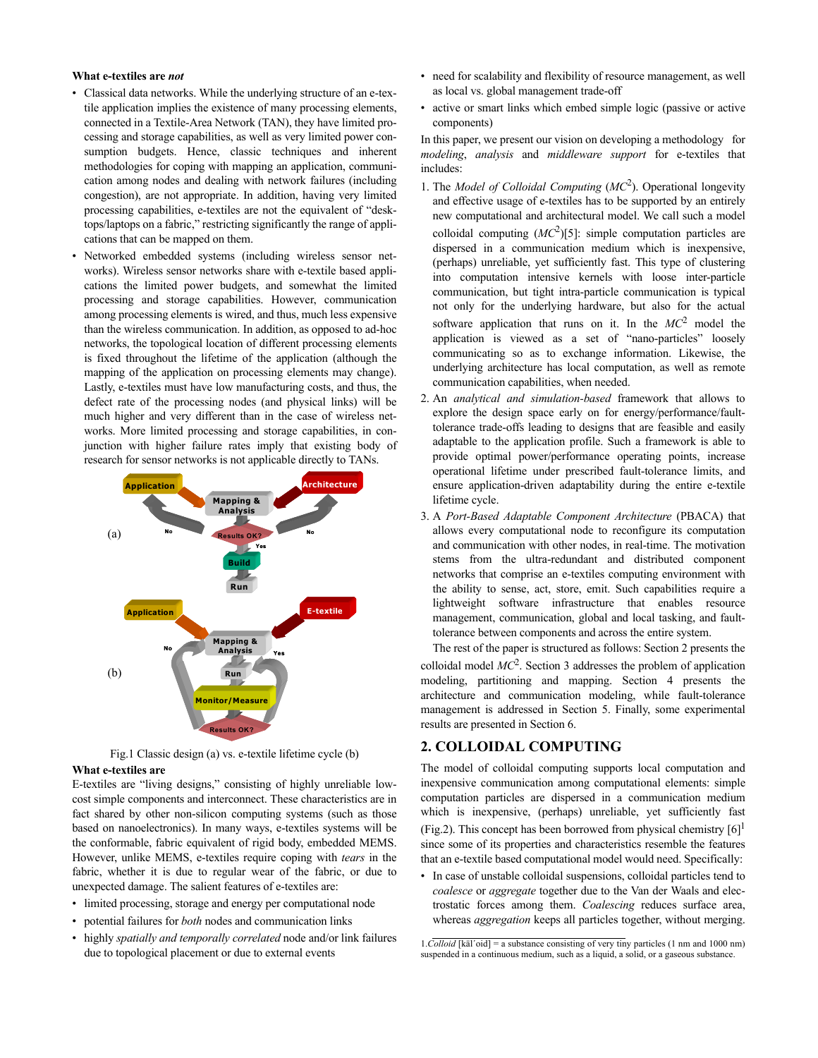#### **What e-textiles are** *not*

- Classical data networks. While the underlying structure of an e-textile application implies the existence of many processing elements, connected in a Textile-Area Network (TAN), they have limited processing and storage capabilities, as well as very limited power consumption budgets. Hence, classic techniques and inherent methodologies for coping with mapping an application, communication among nodes and dealing with network failures (including congestion), are not appropriate. In addition, having very limited processing capabilities, e-textiles are not the equivalent of "desktops/laptops on a fabric," restricting significantly the range of applications that can be mapped on them.
- Networked embedded systems (including wireless sensor networks). Wireless sensor networks share with e-textile based applications the limited power budgets, and somewhat the limited processing and storage capabilities. However, communication among processing elements is wired, and thus, much less expensive than the wireless communication. In addition, as opposed to ad-hoc networks, the topological location of different processing elements is fixed throughout the lifetime of the application (although the mapping of the application on processing elements may change). Lastly, e-textiles must have low manufacturing costs, and thus, the defect rate of the processing nodes (and physical links) will be much higher and very different than in the case of wireless networks. More limited processing and storage capabilities, in conjunction with higher failure rates imply that existing body of research for sensor networks is not applicable directly to TANs.



Fig.1 Classic design (a) vs. e-textile lifetime cycle (b)

## **What e-textiles are**

E-textiles are "living designs," consisting of highly unreliable lowcost simple components and interconnect. These characteristics are in fact shared by other non-silicon computing systems (such as those based on nanoelectronics). In many ways, e-textiles systems will be the conformable, fabric equivalent of rigid body, embedded MEMS. However, unlike MEMS, e-textiles require coping with *tears* in the fabric, whether it is due to regular wear of the fabric, or due to unexpected damage. The salient features of e-textiles are:

- limited processing, storage and energy per computational node
- potential failures for *both* nodes and communication links
- highly *spatially and temporally correlated* node and/or link failures due to topological placement or due to external events
- need for scalability and flexibility of resource management, as well as local vs. global management trade-off
- active or smart links which embed simple logic (passive or active components)

In this paper, we present our vision on developing a methodology for *modeling*, *analysis* and *middleware support* for e-textiles that includes:

- 1. The *Model of Colloidal Computing* (*MC*<sup>2</sup> ). Operational longevity and effective usage of e-textiles has to be supported by an entirely new computational and architectural model. We call such a model colloidal computing  $(MC^2)[5]$ : simple computation particles are dispersed in a communication medium which is inexpensive, (perhaps) unreliable, yet sufficiently fast. This type of clustering into computation intensive kernels with loose inter-particle communication, but tight intra-particle communication is typical not only for the underlying hardware, but also for the actual software application that runs on it. In the  $MC^2$  model the application is viewed as a set of "nano-particles" loosely communicating so as to exchange information. Likewise, the underlying architecture has local computation, as well as remote communication capabilities, when needed.
- 2. An *analytical and simulation-based* framework that allows to explore the design space early on for energy/performance/faulttolerance trade-offs leading to designs that are feasible and easily adaptable to the application profile. Such a framework is able to provide optimal power/performance operating points, increase operational lifetime under prescribed fault-tolerance limits, and ensure application-driven adaptability during the entire e-textile lifetime cycle.
- 3. A *Port-Based Adaptable Component Architecture* (PBACA) that allows every computational node to reconfigure its computation and communication with other nodes, in real-time. The motivation stems from the ultra-redundant and distributed component networks that comprise an e-textiles computing environment with the ability to sense, act, store, emit. Such capabilities require a lightweight software infrastructure that enables resource management, communication, global and local tasking, and faulttolerance between components and across the entire system.

The rest of the paper is structured as follows: Section 2 presents the colloidal model  $MC^2$ . Section 3 addresses the problem of application modeling, partitioning and mapping. Section 4 presents the architecture and communication modeling, while fault-tolerance management is addressed in Section 5. Finally, some experimental results are presented in Section 6.

#### **2. COLLOIDAL COMPUTING**

The model of colloidal computing supports local computation and inexpensive communication among computational elements: simple computation particles are dispersed in a communication medium which is inexpensive, (perhaps) unreliable, yet sufficiently fast (Fig.2). This concept has been borrowed from physical chemistry  $[6]$ <sup>1</sup> since some of its properties and characteristics resemble the features that an e-textile based computational model would need. Specifically:

• In case of unstable colloidal suspensions, colloidal particles tend to *coalesce* or *aggregate* together due to the Van der Waals and electrostatic forces among them. *Coalescing* reduces surface area, whereas *aggregation* keeps all particles together, without merging.

 $1.$ *Colloid* [käl'oid] = a substance consisting of very tiny particles (1 nm and 1000 nm) suspended in a continuous medium, such as a liquid, a solid, or a gaseous substance.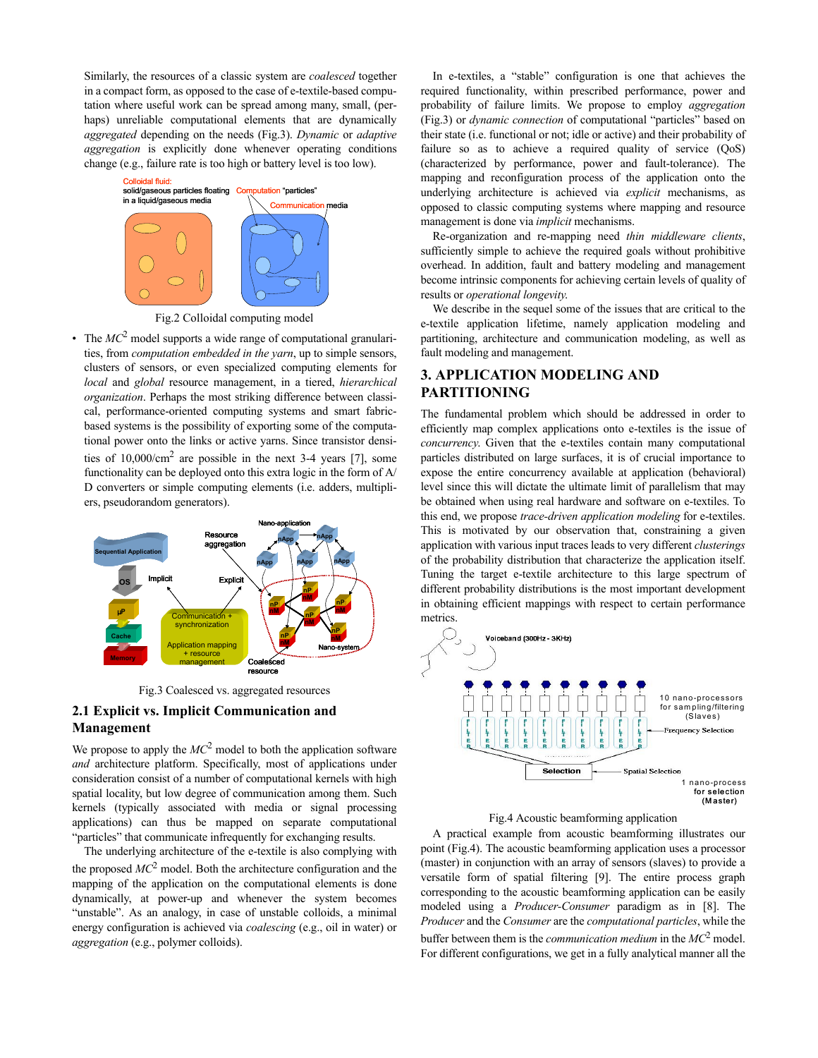Similarly, the resources of a classic system are *coalesced* together in a compact form, as opposed to the case of e-textile-based computation where useful work can be spread among many, small, (perhaps) unreliable computational elements that are dynamically *aggregated* depending on the needs (Fig.3). *Dynamic* or *adaptive aggregation* is explicitly done whenever operating conditions change (e.g., failure rate is too high or battery level is too low).



Fig.2 Colloidal computing model

The  $MC^2$  model supports a wide range of computational granularities, from *computation embedded in the yarn*, up to simple sensors, clusters of sensors, or even specialized computing elements for *local* and *global* resource management, in a tiered, *hierarchical organization*. Perhaps the most striking difference between classical, performance-oriented computing systems and smart fabricbased systems is the possibility of exporting some of the computational power onto the links or active yarns. Since transistor densities of  $10,000/cm^2$  are possible in the next 3-4 years [7], some functionality can be deployed onto this extra logic in the form of A/ D converters or simple computing elements (i.e. adders, multipliers, pseudorandom generators).



Fig.3 Coalesced vs. aggregated resources

## **2.1 Explicit vs. Implicit Communication and Management**

We propose to apply the  $MC^2$  model to both the application software *and* architecture platform. Specifically, most of applications under consideration consist of a number of computational kernels with high spatial locality, but low degree of communication among them. Such kernels (typically associated with media or signal processing applications) can thus be mapped on separate computational "particles" that communicate infrequently for exchanging results.

The underlying architecture of the e-textile is also complying with the proposed  $MC^2$  model. Both the architecture configuration and the mapping of the application on the computational elements is done dynamically, at power-up and whenever the system becomes "unstable". As an analogy, in case of unstable colloids, a minimal energy configuration is achieved via *coalescing* (e.g., oil in water) or *aggregation* (e.g., polymer colloids).

In e-textiles, a "stable" configuration is one that achieves the required functionality, within prescribed performance, power and probability of failure limits. We propose to employ *aggregation* (Fig.3) or *dynamic connection* of computational "particles" based on their state (i.e. functional or not; idle or active) and their probability of failure so as to achieve a required quality of service (QoS) (characterized by performance, power and fault-tolerance). The mapping and reconfiguration process of the application onto the underlying architecture is achieved via *explicit* mechanisms, as opposed to classic computing systems where mapping and resource management is done via *implicit* mechanisms.

Re-organization and re-mapping need *thin middleware clients*, sufficiently simple to achieve the required goals without prohibitive overhead. In addition, fault and battery modeling and management become intrinsic components for achieving certain levels of quality of results or *operational longevity*.

We describe in the sequel some of the issues that are critical to the e-textile application lifetime, namely application modeling and partitioning, architecture and communication modeling, as well as fault modeling and management.

# **3. APPLICATION MODELING AND PARTITIONING**

The fundamental problem which should be addressed in order to efficiently map complex applications onto e-textiles is the issue of *concurrency*. Given that the e-textiles contain many computational particles distributed on large surfaces, it is of crucial importance to expose the entire concurrency available at application (behavioral) level since this will dictate the ultimate limit of parallelism that may be obtained when using real hardware and software on e-textiles. To this end, we propose *trace-driven application modeling* for e-textiles. This is motivated by our observation that, constraining a given application with various input traces leads to very different *clusterings* of the probability distribution that characterize the application itself. Tuning the target e-textile architecture to this large spectrum of different probability distributions is the most important development in obtaining efficient mappings with respect to certain performance metrics.



Fig.4 Acoustic beamforming application

A practical example from acoustic beamforming illustrates our point (Fig.4). The acoustic beamforming application uses a processor (master) in conjunction with an array of sensors (slaves) to provide a versatile form of spatial filtering [9]. The entire process graph corresponding to the acoustic beamforming application can be easily modeled using a *Producer-Consumer* paradigm as in [8]. The *Producer* and the *Consumer* are the *computational particles*, while the buffer between them is the *communication medium* in the *MC*<sup>2</sup> model. For different configurations, we get in a fully analytical manner all the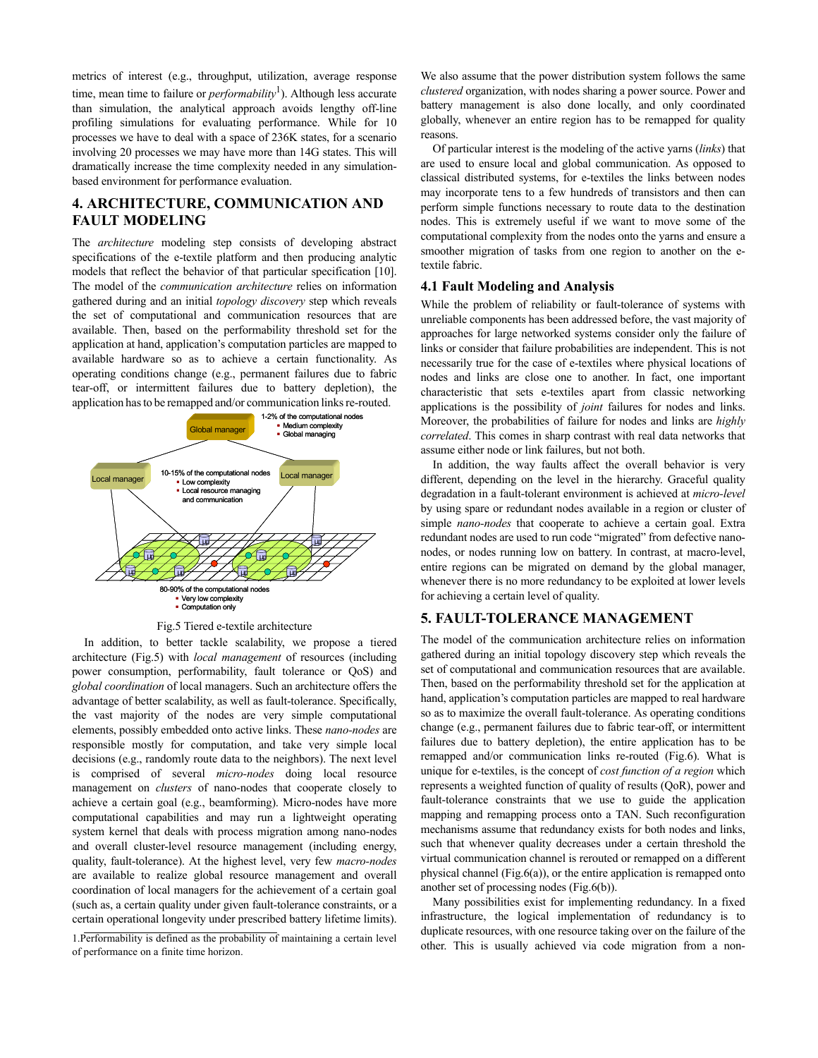metrics of interest (e.g., throughput, utilization, average response time, mean time to failure or *performability*<sup>1</sup> ). Although less accurate than simulation, the analytical approach avoids lengthy off-line profiling simulations for evaluating performance. While for 10 processes we have to deal with a space of 236K states, for a scenario involving 20 processes we may have more than 14G states. This will dramatically increase the time complexity needed in any simulationbased environment for performance evaluation.

# **4. ARCHITECTURE, COMMUNICATION AND FAULT MODELING**

The *architecture* modeling step consists of developing abstract specifications of the e-textile platform and then producing analytic models that reflect the behavior of that particular specification [10]. The model of the *communication architecture* relies on information gathered during and an initial *topology discovery* step which reveals the set of computational and communication resources that are available. Then, based on the performability threshold set for the application at hand, application's computation particles are mapped to available hardware so as to achieve a certain functionality. As operating conditions change (e.g., permanent failures due to fabric tear-off, or intermittent failures due to battery depletion), the application has to be remapped and/or communication links re-routed.



Fig.5 Tiered e-textile architecture

In addition, to better tackle scalability, we propose a tiered architecture (Fig.5) with *local management* of resources (including power consumption, performability, fault tolerance or QoS) and *global coordination* of local managers. Such an architecture offers the advantage of better scalability, as well as fault-tolerance. Specifically, the vast majority of the nodes are very simple computational elements, possibly embedded onto active links. These *nano-nodes* are responsible mostly for computation, and take very simple local decisions (e.g., randomly route data to the neighbors). The next level is comprised of several *micro-nodes* doing local resource management on *clusters* of nano-nodes that cooperate closely to achieve a certain goal (e.g., beamforming). Micro-nodes have more computational capabilities and may run a lightweight operating system kernel that deals with process migration among nano-nodes and overall cluster-level resource management (including energy, quality, fault-tolerance). At the highest level, very few *macro-nodes* are available to realize global resource management and overall coordination of local managers for the achievement of a certain goal (such as, a certain quality under given fault-tolerance constraints, or a certain operational longevity under prescribed battery lifetime limits).

We also assume that the power distribution system follows the same *clustered* organization, with nodes sharing a power source. Power and battery management is also done locally, and only coordinated globally, whenever an entire region has to be remapped for quality reasons.

Of particular interest is the modeling of the active yarns (*links*) that are used to ensure local and global communication. As opposed to classical distributed systems, for e-textiles the links between nodes may incorporate tens to a few hundreds of transistors and then can perform simple functions necessary to route data to the destination nodes. This is extremely useful if we want to move some of the computational complexity from the nodes onto the yarns and ensure a smoother migration of tasks from one region to another on the etextile fabric.

## **4.1 Fault Modeling and Analysis**

While the problem of reliability or fault-tolerance of systems with unreliable components has been addressed before, the vast majority of approaches for large networked systems consider only the failure of links or consider that failure probabilities are independent. This is not necessarily true for the case of e-textiles where physical locations of nodes and links are close one to another. In fact, one important characteristic that sets e-textiles apart from classic networking applications is the possibility of *joint* failures for nodes and links. Moreover, the probabilities of failure for nodes and links are *highly correlated*. This comes in sharp contrast with real data networks that assume either node or link failures, but not both.

In addition, the way faults affect the overall behavior is very different, depending on the level in the hierarchy. Graceful quality degradation in a fault-tolerant environment is achieved at *micro-level* by using spare or redundant nodes available in a region or cluster of simple *nano-nodes* that cooperate to achieve a certain goal. Extra redundant nodes are used to run code "migrated" from defective nanonodes, or nodes running low on battery. In contrast, at macro-level, entire regions can be migrated on demand by the global manager, whenever there is no more redundancy to be exploited at lower levels for achieving a certain level of quality.

## **5. FAULT-TOLERANCE MANAGEMENT**

The model of the communication architecture relies on information gathered during an initial topology discovery step which reveals the set of computational and communication resources that are available. Then, based on the performability threshold set for the application at hand, application's computation particles are mapped to real hardware so as to maximize the overall fault-tolerance. As operating conditions change (e.g., permanent failures due to fabric tear-off, or intermittent failures due to battery depletion), the entire application has to be remapped and/or communication links re-routed (Fig.6). What is unique for e-textiles, is the concept of *cost function of a region* which represents a weighted function of quality of results (QoR), power and fault-tolerance constraints that we use to guide the application mapping and remapping process onto a TAN. Such reconfiguration mechanisms assume that redundancy exists for both nodes and links, such that whenever quality decreases under a certain threshold the virtual communication channel is rerouted or remapped on a different physical channel (Fig.6(a)), or the entire application is remapped onto another set of processing nodes (Fig.6(b)).

Many possibilities exist for implementing redundancy. In a fixed infrastructure, the logical implementation of redundancy is to duplicate resources, with one resource taking over on the failure of the 1. Performability is defined as the probability of maintaining a certain level other. This is usually achieved via code migration from a non-

of performance on a finite time horizon.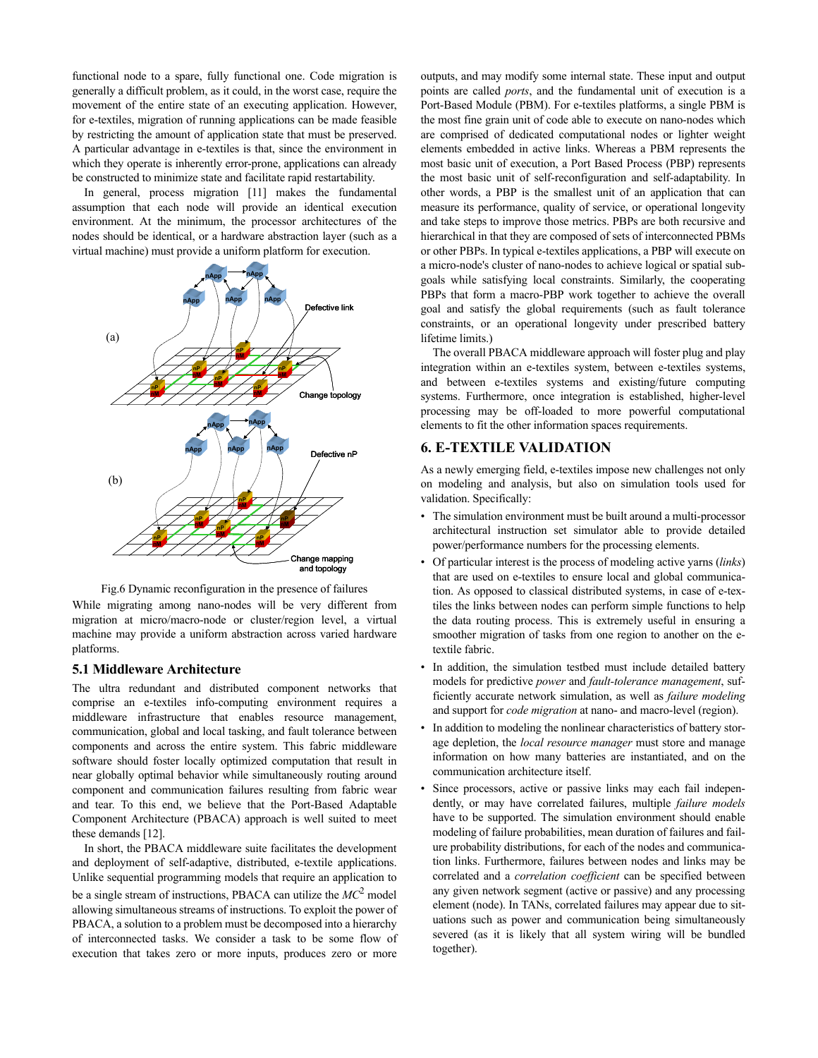functional node to a spare, fully functional one. Code migration is generally a difficult problem, as it could, in the worst case, require the movement of the entire state of an executing application. However, for e-textiles, migration of running applications can be made feasible by restricting the amount of application state that must be preserved. A particular advantage in e-textiles is that, since the environment in which they operate is inherently error-prone, applications can already be constructed to minimize state and facilitate rapid restartability.

In general, process migration [11] makes the fundamental assumption that each node will provide an identical execution environment. At the minimum, the processor architectures of the nodes should be identical, or a hardware abstraction layer (such as a virtual machine) must provide a uniform platform for execution.



Fig.6 Dynamic reconfiguration in the presence of failures While migrating among nano-nodes will be very different from migration at micro/macro-node or cluster/region level, a virtual machine may provide a uniform abstraction across varied hardware platforms.

#### **5.1 Middleware Architecture**

The ultra redundant and distributed component networks that comprise an e-textiles info-computing environment requires a middleware infrastructure that enables resource management, communication, global and local tasking, and fault tolerance between components and across the entire system. This fabric middleware software should foster locally optimized computation that result in near globally optimal behavior while simultaneously routing around component and communication failures resulting from fabric wear and tear. To this end, we believe that the Port-Based Adaptable Component Architecture (PBACA) approach is well suited to meet these demands [12].

In short, the PBACA middleware suite facilitates the development and deployment of self-adaptive, distributed, e-textile applications. Unlike sequential programming models that require an application to be a single stream of instructions, PBACA can utilize the *MC*<sup>2</sup> model allowing simultaneous streams of instructions. To exploit the power of PBACA, a solution to a problem must be decomposed into a hierarchy of interconnected tasks. We consider a task to be some flow of execution that takes zero or more inputs, produces zero or more

outputs, and may modify some internal state. These input and output points are called *ports*, and the fundamental unit of execution is a Port-Based Module (PBM). For e-textiles platforms, a single PBM is the most fine grain unit of code able to execute on nano-nodes which are comprised of dedicated computational nodes or lighter weight elements embedded in active links. Whereas a PBM represents the most basic unit of execution, a Port Based Process (PBP) represents the most basic unit of self-reconfiguration and self-adaptability. In other words, a PBP is the smallest unit of an application that can measure its performance, quality of service, or operational longevity and take steps to improve those metrics. PBPs are both recursive and hierarchical in that they are composed of sets of interconnected PBMs or other PBPs. In typical e-textiles applications, a PBP will execute on a micro-node's cluster of nano-nodes to achieve logical or spatial subgoals while satisfying local constraints. Similarly, the cooperating PBPs that form a macro-PBP work together to achieve the overall goal and satisfy the global requirements (such as fault tolerance constraints, or an operational longevity under prescribed battery lifetime limits.)

The overall PBACA middleware approach will foster plug and play integration within an e-textiles system, between e-textiles systems, and between e-textiles systems and existing/future computing systems. Furthermore, once integration is established, higher-level processing may be off-loaded to more powerful computational elements to fit the other information spaces requirements.

## **6. E-TEXTILE VALIDATION**

As a newly emerging field, e-textiles impose new challenges not only on modeling and analysis, but also on simulation tools used for validation. Specifically:

- The simulation environment must be built around a multi-processor architectural instruction set simulator able to provide detailed power/performance numbers for the processing elements.
- ï Of particular interest is the process of modeling active yarns (*links*) that are used on e-textiles to ensure local and global communication. As opposed to classical distributed systems, in case of e-textiles the links between nodes can perform simple functions to help the data routing process. This is extremely useful in ensuring a smoother migration of tasks from one region to another on the etextile fabric.
- In addition, the simulation testbed must include detailed battery models for predictive *power* and *fault-tolerance management*, sufficiently accurate network simulation, as well as *failure modeling* and support for *code migration* at nano- and macro-level (region).
- In addition to modeling the nonlinear characteristics of battery storage depletion, the *local resource manager* must store and manage information on how many batteries are instantiated, and on the communication architecture itself.
- Since processors, active or passive links may each fail independently, or may have correlated failures, multiple *failure models* have to be supported. The simulation environment should enable modeling of failure probabilities, mean duration of failures and failure probability distributions, for each of the nodes and communication links. Furthermore, failures between nodes and links may be correlated and a *correlation coefficient* can be specified between any given network segment (active or passive) and any processing element (node). In TANs, correlated failures may appear due to situations such as power and communication being simultaneously severed (as it is likely that all system wiring will be bundled together).